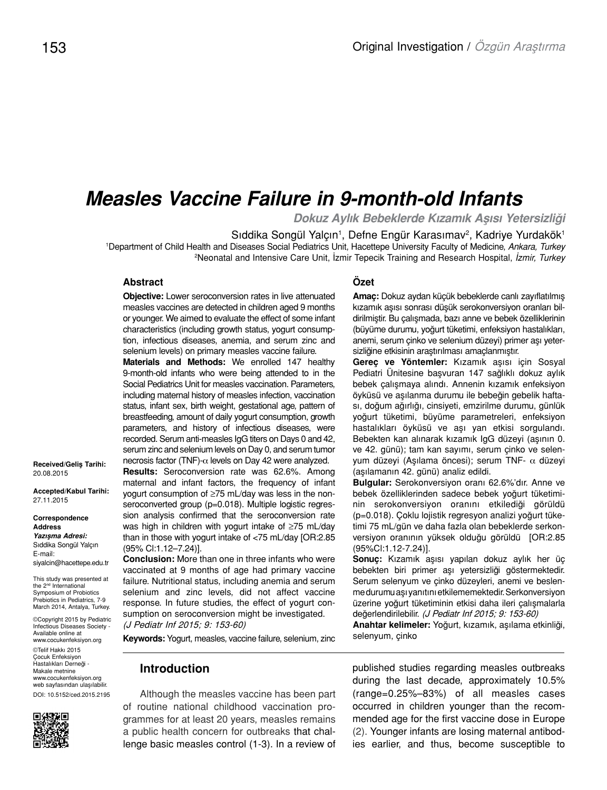# *Measles Vaccine Failure in 9-month-old Infants*

*Dokuz Aylık Bebeklerde Kızamık Aşısı Yetersizliği*

Sıddika Songül Yalçın<sup>1</sup>, Defne Engür Karasımav<sup>2</sup>, Kadriye Yurdakök<sup>1</sup> 1 Department of Child Health and Diseases Social Pediatrics Unit, Hacettepe University Faculty of Medicine, *Ankara, Turkey* 2 Neonatal and Intensive Care Unit, İzmir Tepecik Training and Research Hospital, *İzmir, Turkey*

#### **Abstract**

**Objective:** Lower seroconversion rates in live attenuated measles vaccines are detected in children aged 9 months or younger. We aimed to evaluate the effect of some infant characteristics (including growth status, yogurt consumption, infectious diseases, anemia, and serum zinc and selenium levels) on primary measles vaccine failure.

**Materials and Methods:** We enrolled 147 healthy 9-month-old infants who were being attended to in the Social Pediatrics Unit for measles vaccination. Parameters, including maternal history of measles infection, vaccination status, infant sex, birth weight, gestational age, pattern of breastfeeding, amount of daily yogurt consumption, growth parameters, and history of infectious diseases, were recorded. Serum anti-measles IgG titers on Days 0 and 42, serum zinc and selenium levels on Day 0, and serum tumor necrosis factor (TNF)-α levels on Day 42 were analyzed.

**Results:** Seroconversion rate was 62.6%. Among maternal and infant factors, the frequency of infant yogurt consumption of ≥75 mL/day was less in the nonseroconverted group (p=0.018). Multiple logistic regression analysis confirmed that the seroconversion rate was high in children with yogurt intake of ≥75 mL/day than in those with yogurt intake of <75 mL/day [OR:2.85 (95% Cl:1.12–7.24)].

**Conclusion:** More than one in three infants who were vaccinated at 9 months of age had primary vaccine failure. Nutritional status, including anemia and serum selenium and zinc levels, did not affect vaccine response. In future studies, the effect of yogurt consumption on seroconversion might be investigated. (J Pediatr Inf 2015; 9: 153-60)

**Keywords:** Yogurt, measles, vaccine failure, selenium, zinc

#### **Introduction**

Although the measles vaccine has been part of routine national childhood vaccination programmes for at least 20 years, measles remains a public health concern for outbreaks that challenge basic measles control (1-3). In a review of

#### **Özet**

**Amaç:** Dokuz aydan küçük bebeklerde canlı zayıflatılmış kızamık aşısı sonrası düşük serokonversiyon oranları bildirilmiştir. Bu çalışmada, bazı anne ve bebek özelliklerinin (büyüme durumu, yoğurt tüketimi, enfeksiyon hastalıkları, anemi, serum çinko ve selenium düzeyi) primer aşı yetersizliğine etkisinin araştırılması amaçlanmıştır.

**Gereç ve Yöntemler:** Kızamık aşısı için Sosyal Pediatri Ünitesine başvuran 147 sağlıklı dokuz aylık bebek çalışmaya alındı. Annenin kızamık enfeksiyon öyküsü ve aşılanma durumu ile bebeğin gebelik haftası, doğum ağırlığı, cinsiyeti, emzirilme durumu, günlük yoğurt tüketimi, büyüme parametreleri, enfeksiyon hastalıkları öyküsü ve aşı yan etkisi sorgulandı. Bebekten kan alınarak kızamık IgG düzeyi (aşının 0. ve 42. günü); tam kan sayımı, serum çinko ve selenyum düzeyi (Aşılama öncesi); serum TNF- α düzeyi (aşılamanın 42. günü) analiz edildi.

**Bulgular:** Serokonversiyon oranı 62.6%'dır. Anne ve bebek özelliklerinden sadece bebek yoğurt tüketiminin serokonversiyon oranını etkilediği görüldü (p=0.018). Çoklu lojistik regresyon analizi yoğurt tüketimi 75 mL/gün ve daha fazla olan bebeklerde serkonversiyon oranının yüksek olduğu görüldü [OR:2.85 (95%Cl:1.12-7.24)].

**Sonuç:** Kızamık aşısı yapılan dokuz aylık her üç bebekten biri primer aşı yetersizliği göstermektedir. Serum selenyum ve çinko düzeyleri, anemi ve beslenme durumu aşı yanıtını etkilememektedir. Serkonversiyon üzerine yoğurt tüketiminin etkisi daha ileri çalışmalarla değerlendirilebilir. (J Pediatr Inf 2015; 9: 153-60)

**Anahtar kelimeler:** Yoğurt, kızamık, aşılama etkinliği, selenyum, çinko

published studies regarding measles outbreaks during the last decade, approximately 10.5% (range=0.25%–83%) of all measles cases occurred in children younger than the recommended age for the first vaccine dose in Europe (2). Younger infants are losing maternal antibodies earlier, and thus, become susceptible to

**Received/Geliş Tarihi:**  20.08.2015

**Accepted/Kabul Tarihi:** 27.11.2015

**Correspondence Address** *Yazışma Adresi:* Sıddika Songül Yalçın E-mail: siyalcin@hacettepe.edu.tr

This study was presented at the 2nd International Symposium of Probiotics Prebiotics in Pediatrics, 7-9 March 2014, Antalya, Turkey.

©Copyright 2015 by Pediatric Infectious Diseases Society - Available online at www.cocukenfeksiyon.org

©Telif Hakkı 2015 Çocuk Enfeksiyon Hastalıkları Derneği - Makale metnine www.cocukenfeksiyon.org web sayfasından ulaşılabilir. DOI: 10.5152/ced.2015.2195

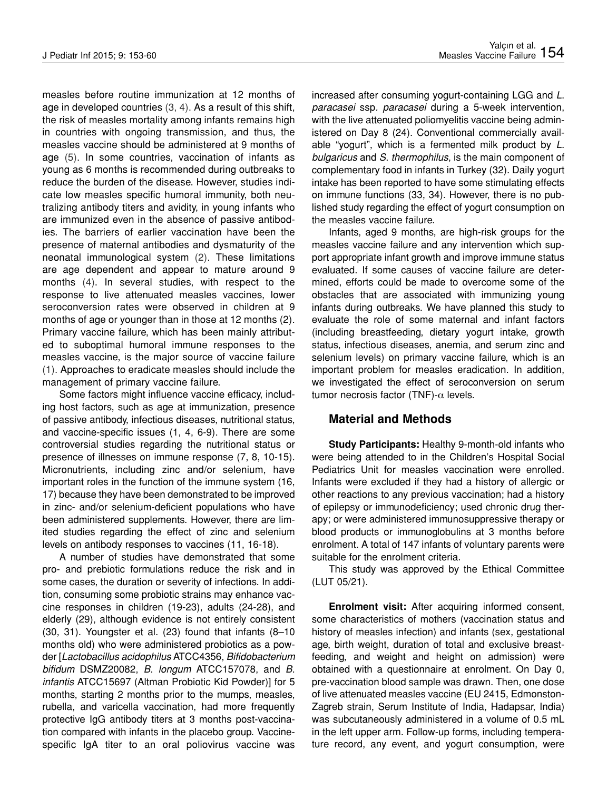measles before routine immunization at 12 months of age in developed countries (3, 4). As a result of this shift, the risk of measles mortality among infants remains high in countries with ongoing transmission, and thus, the measles vaccine should be administered at 9 months of age (5). In some countries, vaccination of infants as young as 6 months is recommended during outbreaks to reduce the burden of the disease. However, studies indicate low measles specific humoral immunity, both neutralizing antibody titers and avidity, in young infants who are immunized even in the absence of passive antibodies. The barriers of earlier vaccination have been the presence of maternal antibodies and dysmaturity of the neonatal immunological system (2). These limitations are age dependent and appear to mature around 9 months (4). In several studies, with respect to the response to live attenuated measles vaccines, lower seroconversion rates were observed in children at 9 months of age or younger than in those at 12 months (2). Primary vaccine failure, which has been mainly attributed to suboptimal humoral immune responses to the measles vaccine, is the major source of vaccine failure (1). Approaches to eradicate measles should include the management of primary vaccine failure.

Some factors might influence vaccine efficacy, including host factors, such as age at immunization, presence of passive antibody, infectious diseases, nutritional status, and vaccine-specific issues (1, 4, 6-9). There are some controversial studies regarding the nutritional status or presence of illnesses on immune response (7, 8, 10-15). Micronutrients, including zinc and/or selenium, have important roles in the function of the immune system (16, 17) because they have been demonstrated to be improved in zinc- and/or selenium-deficient populations who have been administered supplements. However, there are limited studies regarding the effect of zinc and selenium levels on antibody responses to vaccines (11, 16-18).

A number of studies have demonstrated that some pro- and prebiotic formulations reduce the risk and in some cases, the duration or severity of infections. In addition, consuming some probiotic strains may enhance vaccine responses in children (19-23), adults (24-28), and elderly (29), although evidence is not entirely consistent (30, 31). Youngster et al. (23) found that infants (8–10 months old) who were administered probiotics as a powder [*Lactobacillus acidophilus* ATCC4356, *Bifidobacterium bifidum* DSMZ20082, *B*. *longum* ATCC157078, and *B*. *infantis* ATCC15697 (Altman Probiotic Kid Powder)] for 5 months, starting 2 months prior to the mumps, measles, rubella, and varicella vaccination, had more frequently protective IgG antibody titers at 3 months post-vaccination compared with infants in the placebo group. Vaccinespecific IgA titer to an oral poliovirus vaccine was

increased after consuming yogurt-containing LGG and *L*. *paracasei* ssp*. paracasei* during a 5-week intervention, with the live attenuated poliomyelitis vaccine being administered on Day 8 (24). Conventional commercially available "yogurt", which is a fermented milk product by *L*. *bulgaricus* and *S*. *thermophilus*, is the main component of complementary food in infants in Turkey (32). Daily yogurt intake has been reported to have some stimulating effects on immune functions (33, 34). However, there is no published study regarding the effect of yogurt consumption on the measles vaccine failure.

Infants, aged 9 months, are high-risk groups for the measles vaccine failure and any intervention which support appropriate infant growth and improve immune status evaluated. If some causes of vaccine failure are determined, efforts could be made to overcome some of the obstacles that are associated with immunizing young infants during outbreaks. We have planned this study to evaluate the role of some maternal and infant factors (including breastfeeding, dietary yogurt intake, growth status, infectious diseases, anemia, and serum zinc and selenium levels) on primary vaccine failure, which is an important problem for measles eradication. In addition, we investigated the effect of seroconversion on serum tumor necrosis factor (TNF)- $\alpha$  levels.

## **Material and Methods**

**Study Participants:** Healthy 9-month-old infants who were being attended to in the Children's Hospital Social Pediatrics Unit for measles vaccination were enrolled. Infants were excluded if they had a history of allergic or other reactions to any previous vaccination; had a history of epilepsy or immunodeficiency; used chronic drug therapy; or were administered immunosuppressive therapy or blood products or immunoglobulins at 3 months before enrolment. A total of 147 infants of voluntary parents were suitable for the enrolment criteria.

This study was approved by the Ethical Committee (LUT 05/21).

**Enrolment visit:** After acquiring informed consent, some characteristics of mothers (vaccination status and history of measles infection) and infants (sex, gestational age, birth weight, duration of total and exclusive breastfeeding, and weight and height on admission) were obtained with a questionnaire at enrolment. On Day 0, pre-vaccination blood sample was drawn. Then, one dose of live attenuated measles vaccine (EU 2415, Edmonston-Zagreb strain, Serum Institute of India, Hadapsar, India) was subcutaneously administered in a volume of 0.5 mL in the left upper arm. Follow-up forms, including temperature record, any event, and yogurt consumption, were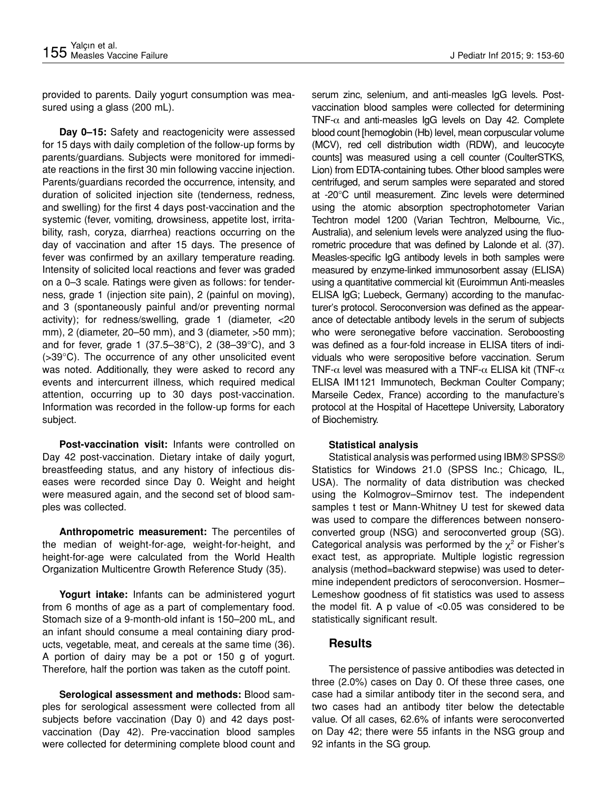provided to parents. Daily yogurt consumption was measured using a glass (200 mL).

**Day 0–15:** Safety and reactogenicity were assessed for 15 days with daily completion of the follow-up forms by parents/guardians. Subjects were monitored for immediate reactions in the first 30 min following vaccine injection. Parents/guardians recorded the occurrence, intensity, and duration of solicited injection site (tenderness, redness, and swelling) for the first 4 days post-vaccination and the systemic (fever, vomiting, drowsiness, appetite lost, irritability, rash, coryza, diarrhea) reactions occurring on the day of vaccination and after 15 days. The presence of fever was confirmed by an axillary temperature reading. Intensity of solicited local reactions and fever was graded on a 0–3 scale. Ratings were given as follows: for tenderness, grade 1 (injection site pain), 2 (painful on moving), and 3 (spontaneously painful and/or preventing normal activity); for redness/swelling, grade 1 (diameter, <20 mm), 2 (diameter, 20–50 mm), and 3 (diameter, >50 mm); and for fever, grade 1 (37.5–38 $^{\circ}$ C), 2 (38–39 $^{\circ}$ C), and 3 (>39°C). The occurrence of any other unsolicited event was noted. Additionally, they were asked to record any events and intercurrent illness, which required medical attention, occurring up to 30 days post-vaccination. Information was recorded in the follow-up forms for each subject.

**Post-vaccination visit:** Infants were controlled on Day 42 post-vaccination. Dietary intake of daily yogurt, breastfeeding status, and any history of infectious diseases were recorded since Day 0. Weight and height were measured again, and the second set of blood samples was collected.

**Anthropometric measurement:** The percentiles of the median of weight-for-age, weight-for-height, and height-for-age were calculated from the World Health Organization Multicentre Growth Reference Study (35).

**Yogurt intake:** Infants can be administered yogurt from 6 months of age as a part of complementary food. Stomach size of a 9-month-old infant is 150–200 mL, and an infant should consume a meal containing diary products, vegetable, meat, and cereals at the same time (36). A portion of dairy may be a pot or 150 g of yogurt. Therefore, half the portion was taken as the cutoff point.

**Serological assessment and methods:** Blood samples for serological assessment were collected from all subjects before vaccination (Day 0) and 42 days postvaccination (Day 42). Pre-vaccination blood samples were collected for determining complete blood count and serum zinc, selenium, and anti-measles IgG levels. Postvaccination blood samples were collected for determining TNF- $\alpha$  and anti-measles IgG levels on Day 42. Complete blood count [hemoglobin (Hb) level, mean corpuscular volume (MCV), red cell distribution width (RDW), and leucocyte counts] was measured using a cell counter (CoulterSTKS, Lion) from EDTA-containing tubes. Other blood samples were centrifuged, and serum samples were separated and stored at -20°C until measurement. Zinc levels were determined using the atomic absorption spectrophotometer Varian Techtron model 1200 (Varian Techtron, Melbourne, Vic., Australia), and selenium levels were analyzed using the fluorometric procedure that was defined by Lalonde et al. (37). Measles-specific IgG antibody levels in both samples were measured by enzyme-linked immunosorbent assay (ELISA) using a quantitative commercial kit (Euroimmun Anti-measles ELISA IgG; Luebeck, Germany) according to the manufacturer's protocol. Seroconversion was defined as the appearance of detectable antibody levels in the serum of subjects who were seronegative before vaccination. Seroboosting was defined as a four-fold increase in ELISA titers of individuals who were seropositive before vaccination. Serum TNF- $\alpha$  level was measured with a TNF- $\alpha$  ELISA kit (TNF- $\alpha$ ELISA IM1121 Immunotech, Beckman Coulter Company; Marseile Cedex, France) according to the manufacture's protocol at the Hospital of Hacettepe University, Laboratory of Biochemistry.

#### **Statistical analysis**

Statistical analysis was performed using IBM® SPSS® Statistics for Windows 21.0 (SPSS Inc.; Chicago, IL, USA). The normality of data distribution was checked using the Kolmogrov–Smirnov test. The independent samples t test or Mann-Whitney U test for skewed data was used to compare the differences between nonseroconverted group (NSG) and seroconverted group (SG). Categorical analysis was performed by the  $\chi^2$  or Fisher's exact test, as appropriate. Multiple logistic regression analysis (method=backward stepwise) was used to determine independent predictors of seroconversion. Hosmer– Lemeshow goodness of fit statistics was used to assess the model fit. A p value of <0.05 was considered to be statistically significant result.

## **Results**

The persistence of passive antibodies was detected in three (2.0%) cases on Day 0. Of these three cases, one case had a similar antibody titer in the second sera, and two cases had an antibody titer below the detectable value. Of all cases, 62.6% of infants were seroconverted on Day 42; there were 55 infants in the NSG group and 92 infants in the SG group.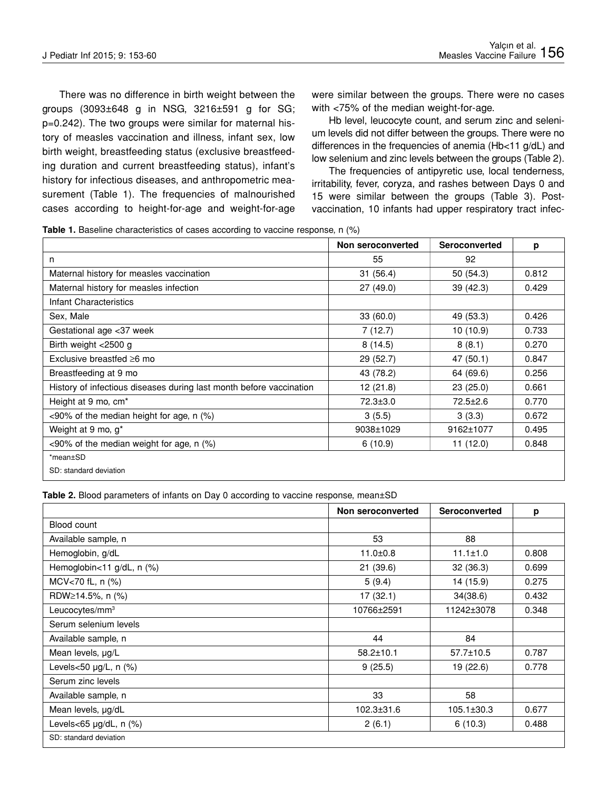There was no difference in birth weight between the groups (3093±648 g in NSG, 3216±591 g for SG; p=0.242). The two groups were similar for maternal history of measles vaccination and illness, infant sex, low birth weight, breastfeeding status (exclusive breastfeeding duration and current breastfeeding status), infant's history for infectious diseases, and anthropometric measurement (Table 1). The frequencies of malnourished cases according to height-for-age and weight-for-age

were similar between the groups. There were no cases with <75% of the median weight-for-age.

Hb level, leucocyte count, and serum zinc and selenium levels did not differ between the groups. There were no differences in the frequencies of anemia (Hb<11 g/dL) and low selenium and zinc levels between the groups (Table 2).

The frequencies of antipyretic use, local tenderness, irritability, fever, coryza, and rashes between Days 0 and 15 were similar between the groups (Table 3). Postvaccination, 10 infants had upper respiratory tract infec-

**Table 1.** Baseline characteristics of cases according to vaccine response, n (%)

|                                                                     | Non seroconverted | Seroconverted  | p     |
|---------------------------------------------------------------------|-------------------|----------------|-------|
| n                                                                   | 55                | 92             |       |
| Maternal history for measles vaccination                            | 31(56.4)          | 50 (54.3)      | 0.812 |
| Maternal history for measles infection                              | 27(49.0)          | 39 (42.3)      | 0.429 |
| Infant Characteristics                                              |                   |                |       |
| Sex, Male                                                           | 33(60.0)          | 49 (53.3)      | 0.426 |
| Gestational age <37 week                                            | 7(12.7)           | 10(10.9)       | 0.733 |
| Birth weight <2500 g                                                | 8(14.5)           | 8(8.1)         | 0.270 |
| Exclusive breastfed $\geq 6$ mo                                     | 29(52.7)          | 47 (50.1)      | 0.847 |
| Breastfeeding at 9 mo                                               | 43 (78.2)         | 64 (69.6)      | 0.256 |
| History of infectious diseases during last month before vaccination | 12(21.8)          | 23(25.0)       | 0.661 |
| Height at 9 mo, cm <sup>*</sup>                                     | $72.3 \pm 3.0$    | $72.5 \pm 2.6$ | 0.770 |
| $<90\%$ of the median height for age, n (%)                         | 3(5.5)            | 3(3.3)         | 0.672 |
| Weight at 9 mo, g <sup>*</sup>                                      | 9038±1029         | 9162±1077      | 0.495 |
| $<90\%$ of the median weight for age, n $(\%)$                      | 6(10.9)           | 11(12.0)       | 0.848 |
| *mean±SD                                                            |                   |                |       |
| SD: standard deviation                                              |                   |                |       |

**Table 2.** Blood parameters of infants on Day 0 according to vaccine response, mean±SD

|                            | Non seroconverted | Seroconverted    | p     |
|----------------------------|-------------------|------------------|-------|
| Blood count                |                   |                  |       |
| Available sample, n        | 53                | 88               |       |
| Hemoglobin, g/dL           | $11.0 \pm 0.8$    | $11.1 \pm 1.0$   | 0.808 |
| Hemoglobin<11 g/dL, n (%)  | 21(39.6)          | 32(36.3)         | 0.699 |
| MCV<70 fL, n (%)           | 5(9.4)            | 14 (15.9)        | 0.275 |
| RDW≥14.5%, n (%)           | 17(32.1)          | 34(38.6)         | 0.432 |
| Leucocytes/mm <sup>3</sup> | 10766±2591        | 11242±3078       | 0.348 |
| Serum selenium levels      |                   |                  |       |
| Available sample, n        | 44                | 84               |       |
| Mean levels, µg/L          | $58.2 \pm 10.1$   | $57.7 \pm 10.5$  | 0.787 |
| Levels<50 µg/L, n (%)      | 9(25.5)           | 19 (22.6)        | 0.778 |
| Serum zinc levels          |                   |                  |       |
| Available sample, n        | 33                | 58               |       |
| Mean levels, µg/dL         | 102.3±31.6        | $105.1 \pm 30.3$ | 0.677 |
| Levels<65 µg/dL, n (%)     | 2(6.1)            | 6(10.3)          | 0.488 |
| SD: standard deviation     |                   |                  |       |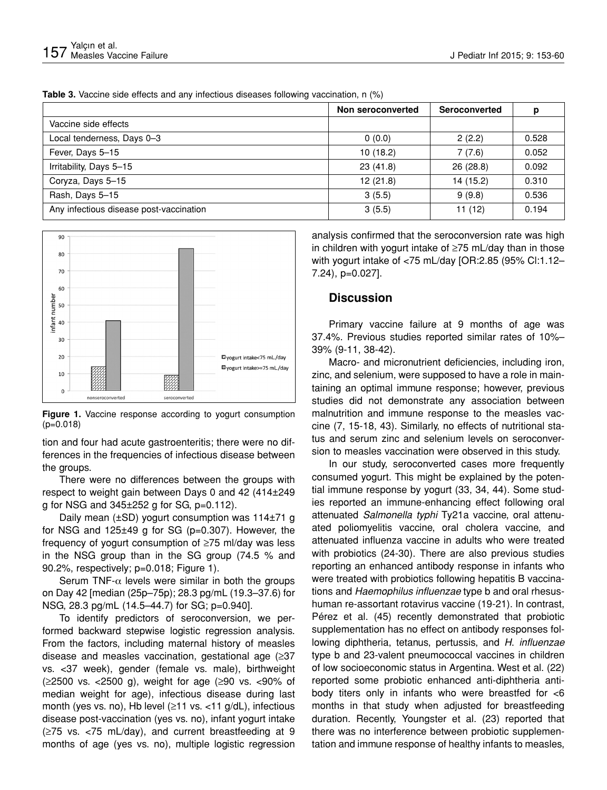|  | Table 3. Vaccine side effects and any infectious diseases following vaccination, n (%) |  |
|--|----------------------------------------------------------------------------------------|--|
|  |                                                                                        |  |

|                                         | Non seroconverted | Seroconverted | р     |
|-----------------------------------------|-------------------|---------------|-------|
| Vaccine side effects                    |                   |               |       |
| Local tenderness, Days 0-3              | 0(0.0)            | 2(2.2)        | 0.528 |
| Fever, Days 5-15                        | 10(18.2)          | 7(7.6)        | 0.052 |
| Irritability, Days 5-15                 | 23(41.8)          | 26(28.8)      | 0.092 |
| Coryza, Days 5-15                       | 12(21.8)          | 14 (15.2)     | 0.310 |
| Rash, Days 5-15                         | 3(5.5)            | 9(9.8)        | 0.536 |
| Any infectious disease post-vaccination | 3(5.5)            | 11(12)        | 0.194 |



**Figure 1.** Vaccine response according to yogurt consumption (p=0.018)

tion and four had acute gastroenteritis; there were no differences in the frequencies of infectious disease between the groups.

There were no differences between the groups with respect to weight gain between Days 0 and 42 (414±249 g for NSG and  $345\pm252$  g for SG,  $p=0.112$ ).

Daily mean (±SD) yogurt consumption was 114±71 g for NSG and 125±49 g for SG (p=0.307). However, the frequency of yogurt consumption of ≥75 ml/day was less in the NSG group than in the SG group (74.5 % and 90.2%, respectively; p=0.018; Figure 1).

Serum TNF- $\alpha$  levels were similar in both the groups on Day 42 [median (25p–75p); 28.3 pg/mL (19.3–37.6) for NSG, 28.3 pg/mL (14.5–44.7) for SG; p=0.940].

To identify predictors of seroconversion, we performed backward stepwise logistic regression analysis. From the factors, including maternal history of measles disease and measles vaccination, gestational age (≥37 vs. <37 week), gender (female vs. male), birthweight (≥2500 vs. <2500 g), weight for age (≥90 vs. <90% of median weight for age), infectious disease during last month (yes vs. no), Hb level (≥11 vs. <11 g/dL), infectious disease post-vaccination (yes vs. no), infant yogurt intake (≥75 vs. <75 mL/day), and current breastfeeding at 9 months of age (yes vs. no), multiple logistic regression

analysis confirmed that the seroconversion rate was high in children with yogurt intake of ≥75 mL/day than in those with yogurt intake of <75 mL/day [OR:2.85 (95% Cl:1.12– 7.24), p=0.027].

### **Discussion**

Primary vaccine failure at 9 months of age was 37.4%. Previous studies reported similar rates of 10%– 39% (9-11, 38-42).

Macro- and micronutrient deficiencies, including iron, zinc, and selenium, were supposed to have a role in maintaining an optimal immune response; however, previous studies did not demonstrate any association between malnutrition and immune response to the measles vaccine (7, 15-18, 43). Similarly, no effects of nutritional status and serum zinc and selenium levels on seroconversion to measles vaccination were observed in this study.

In our study, seroconverted cases more frequently consumed yogurt. This might be explained by the potential immune response by yogurt (33, 34, 44). Some studies reported an immune-enhancing effect following oral attenuated *Salmonella typhi* Ty21a vaccine, oral attenuated poliomyelitis vaccine, oral cholera vaccine, and attenuated influenza vaccine in adults who were treated with probiotics (24-30). There are also previous studies reporting an enhanced antibody response in infants who were treated with probiotics following hepatitis B vaccinations and *Haemophilus influenzae* type b and oral rhesushuman re-assortant rotavirus vaccine (19-21). In contrast, Pérez et al. (45) recently demonstrated that probiotic supplementation has no effect on antibody responses following diphtheria, tetanus, pertussis, and *H*. *influenzae*  type b and 23-valent pneumococcal vaccines in children of low socioeconomic status in Argentina. West et al. (22) reported some probiotic enhanced anti-diphtheria antibody titers only in infants who were breastfed for <6 months in that study when adjusted for breastfeeding duration. Recently, Youngster et al. (23) reported that there was no interference between probiotic supplementation and immune response of healthy infants to measles,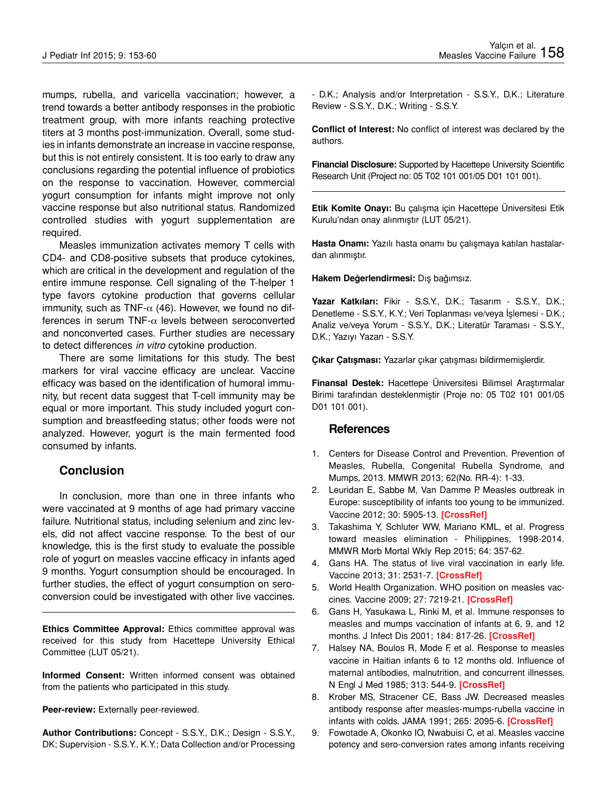mumps, rubella, and varicella vaccination; however, a trend towards a better antibody responses in the probiotic treatment group, with more infants reaching protective titers at 3 months post-immunization. Overall, some studies in infants demonstrate an increase in vaccine response, but this is not entirely consistent. It is too early to draw any conclusions regarding the potential influence of probiotics on the response to vaccination. However, commercial yogurt consumption for infants might improve not only vaccine response but also nutritional status. Randomized controlled studies with yogurt supplementation are required.

Measles immunization activates memory T cells with CD4- and CD8-positive subsets that produce cytokines, which are critical in the development and regulation of the entire immune response. Cell signaling of the T-helper 1 type favors cytokine production that governs cellular immunity, such as TNF- $\alpha$  (46). However, we found no differences in serum TNF- $\alpha$  levels between seroconverted and nonconverted cases. Further studies are necessary to detect differences *in vitro* cytokine production.

There are some limitations for this study. The best markers for viral vaccine efficacy are unclear. Vaccine efficacy was based on the identification of humoral immunity, but recent data suggest that T-cell immunity may be equal or more important. This study included yogurt consumption and breastfeeding status; other foods were not analyzed. However, yogurt is the main fermented food consumed by infants.

## **Conclusion**

In conclusion, more than one in three infants who were vaccinated at 9 months of age had primary vaccine failure. Nutritional status, including selenium and zinc levels, did not affect vaccine response. To the best of our knowledge, this is the first study to evaluate the possible role of yogurt on measles vaccine efficacy in infants aged 9 months. Yogurt consumption should be encouraged. In further studies, the effect of yogurt consumption on seroconversion could be investigated with other live vaccines.

**Ethics Committee Approval:** Ethics committee approval was received for this study from Hacettepe University Ethical Committee (LUT 05/21).

**Informed Consent:** Written informed consent was obtained from the patients who participated in this study.

**Peer-review:** Externally peer-reviewed.

**Author Contributions:** Concept - S.S.Y., D.K.; Design - S.S.Y., DK; Supervision - S.S.Y., K.Y.; Data Collection and/or Processing - D.K.; Analysis and/or Interpretation - S.S.Y., D.K.; Literature Review - S.S.Y., D.K.; Writing - S.S.Y.

**Conflict of Interest:** No conflict of interest was declared by the authors.

**Financial Disclosure:** Supported by Hacettepe University Scientific Research Unit (Project no: 05 T02 101 001/05 D01 101 001).

**Etik Komite Onayı:** Bu çalışma için Hacettepe Üniversitesi Etik Kurulu'ndan onay alınmıştır (LUT 05/21).

**Hasta Onamı:** Yazılı hasta onamı bu çalışmaya katılan hastalardan alınmıştır.

**Hakem Değerlendirmesi:** Dış bağımsız.

**Yazar Katkıları:** Fikir - S.S.Y., D.K.; Tasarım - S.S.Y., D.K.; Denetleme - S.S.Y., K.Y.; Veri Toplanması ve/veya İşlemesi - D.K.; Analiz ve/veya Yorum - S.S.Y., D.K.; Literatür Taraması - S.S.Y., D.K.; Yazıyı Yazan - S.S.Y.

**Çıkar Çatışması:** Yazarlar çıkar çatışması bildirmemişlerdir.

**Finansal Destek:** Hacettepe Üniversitesi Bilimsel Araştırmalar Birimi tarafından desteklenmiştir (Proje no: 05 T02 101 001/05 D01 101 001).

#### **References**

- 1. Centers for Disease Control and Prevention. Prevention of Measles, Rubella, Congenital Rubella Syndrome, and Mumps, 2013. MMWR 2013; 62(No. RR-4): 1-33.
- 2. Leuridan E, Sabbe M, Van Damme P. Measles outbreak in Europe: susceptibility of infants too young to be immunized. Vaccine 2012; 30: 5905-13. **[\[CrossRef](http://dx.doi.org/10.1016/j.vaccine.2012.07.035)]**
- 3. Takashima Y, Schluter WW, Mariano KML, et al. Progress toward measles elimination - Philippines, 1998-2014. MMWR Morb Mortal Wkly Rep 2015; 64: 357-62.
- 4. Gans HA. The status of live viral vaccination in early life. Vaccine 2013; 31: 2531-7. **[\[CrossRef](http://dx.doi.org/10.1016/j.vaccine.2012.09.043)]**
- 5. World Health Organization. WHO position on measles vaccines. Vaccine 2009; 27: 7219-21. **[\[CrossRef](http://dx.doi.org/10.1016/j.vaccine.2009.09.116)]**
- 6. Gans H, Yasukawa L, Rinki M, et al. Immune responses to measles and mumps vaccination of infants at 6, 9, and 12 months. J Infect Dis 2001; 184: 817-26. **[\[CrossRef](http://dx.doi.org/10.1086/323346)]**
- 7. Halsey NA, Boulos R, Mode F, et al. Response to measles vaccine in Haitian infants 6 to 12 months old. Influence of maternal antibodies, malnutrition, and concurrent illnesses. N Engl J Med 1985; 313: 544-9. **[\[CrossRef](http://dx.doi.org/10.1056/NEJM198508293130904)]**
- 8. Krober MS, Stracener CE, Bass JW. Decreased measles antibody response after measles-mumps-rubella vaccine in infants with colds. JAMA 1991; 265: 2095-6. **[\[CrossRef](http://dx.doi.org/10.1001/jama.1991.03460160073032)]**
- 9. Fowotade A, Okonko IO, Nwabuisi C, et al. Measles vaccine potency and sero-conversion rates among infants receiving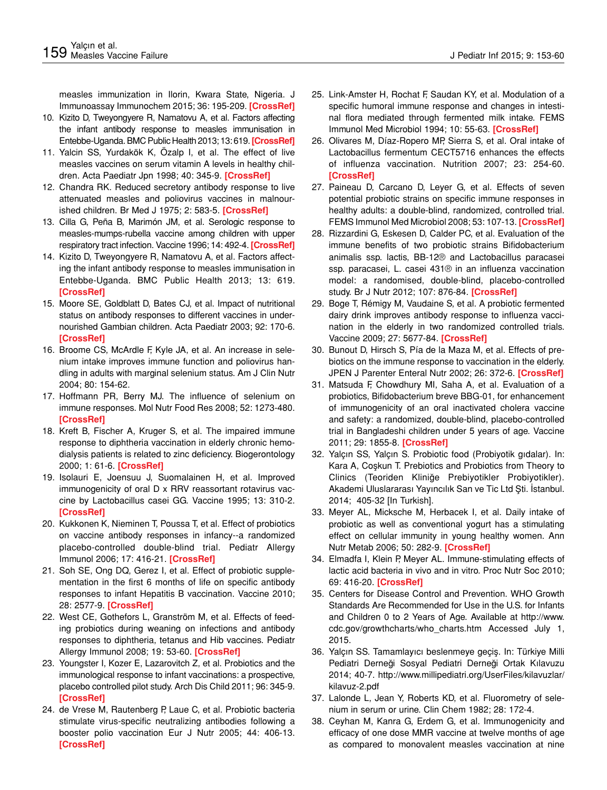measles immunization in Ilorin, Kwara State, Nigeria. J Immunoassay Immunochem 2015; 36: 195-209. **[\[CrossRef](http://dx.doi.org/10.1080/15321819.2014.920713)]**

- 10. Kizito D, Tweyongyere R, Namatovu A, et al. Factors affecting the infant antibody response to measles immunisation in Entebbe-Uganda. BMC Public Health 2013; 13: 619. **[\[CrossRef](http://dx.doi.org/10.1186/1471-2458-13-619)]**
- 11. Yalcin SS, Yurdakök K, Özalp I, et al. The effect of live measles vaccines on serum vitamin A levels in healthy children. Acta Paediatr Jpn 1998; 40: 345-9. **[[CrossRef\]](http://dx.doi.org/10.1111/j.1442-200X.1998.tb01945.x)**
- 12. Chandra RK. Reduced secretory antibody response to live attenuated measles and poliovirus vaccines in malnourished children. Br Med J 1975; 2: 583-5. **[[CrossRef\]](http://dx.doi.org/10.1136/bmj.2.5971.583)**
- 13. Cilla G, Peña B, Marimón JM, et al. Serologic response to measles-mumps-rubella vaccine among children with upper respiratory tract infection. Vaccine 1996; 14: 492-4. **[[CrossRef](http://dx.doi.org/10.1016/0264-410X(95)00234-R)]**
- 14. Kizito D, Tweyongyere R, Namatovu A, et al. Factors affecting the infant antibody response to measles immunisation in Entebbe-Uganda. BMC Public Health 2013; 13: 619. **[[CrossRef\]](http://dx.doi.org/10.1186/1471-2458-13-619)**
- 15. Moore SE, Goldblatt D, Bates CJ, et al. Impact of nutritional status on antibody responses to different vaccines in undernourished Gambian children. Acta Paediatr 2003; 92: 170-6. **[[CrossRef\]](http://dx.doi.org/10.1111/j.1651-2227.2003.tb00522.x)**
- 16. Broome CS, McArdle F, Kyle JA, et al. An increase in selenium intake improves immune function and poliovirus handling in adults with marginal selenium status. Am J Clin Nutr 2004; 80: 154-62.
- 17. Hoffmann PR, Berry MJ. The influence of selenium on immune responses. Mol Nutr Food Res 2008; 52: 1273-480. **[[CrossRef\]](http://dx.doi.org/10.1002/mnfr.200700330)**
- 18. Kreft B, Fischer A, Kruger S, et al. The impaired immune response to diphtheria vaccination in elderly chronic hemodialysis patients is related to zinc deficiency. Biogerontology 2000; 1: 61-6. **[\[CrossRef](http://dx.doi.org/10.1023/A:1010077622172)]**
- 19. Isolauri E, Joensuu J, Suomalainen H, et al. Improved immunogenicity of oral D x RRV reassortant rotavirus vaccine by Lactobacillus casei GG. Vaccine 1995; 13: 310-2. **[[CrossRef\]](http://dx.doi.org/10.1016/0264-410X(95)93319-5)**
- 20. Kukkonen K, Nieminen T, Poussa T, et al. Effect of probiotics on vaccine antibody responses in infancy--a randomized placebo-controlled double-blind trial. Pediatr Allergy Immunol 2006; 17: 416-21. **[\[CrossRef](http://dx.doi.org/10.1111/j.1399-3038.2006.00420.x)]**
- 21. Soh SE, Ong DQ, Gerez I, et al. Effect of probiotic supplementation in the first 6 months of life on specific antibody responses to infant Hepatitis B vaccination. Vaccine 2010; 28: 2577-9. **[\[CrossRef](http://dx.doi.org/10.1016/j.vaccine.2010.01.020)]**
- 22. West CE, Gothefors L, Granström M, et al. Effects of feeding probiotics during weaning on infections and antibody responses to diphtheria, tetanus and Hib vaccines. Pediatr Allergy Immunol 2008; 19: 53-60. **[\[CrossRef](http://dx.doi.org/10.1111/j.1399-3038.2007.00583.x)]**
- 23. Youngster I, Kozer E, Lazarovitch Z, et al. Probiotics and the immunological response to infant vaccinations: a prospective, placebo controlled pilot study. Arch Dis Child 2011; 96: 345-9. **[[CrossRef\]](http://dx.doi.org/10.1136/adc.2010.197459)**
- 24. de Vrese M, Rautenberg P, Laue C, et al. Probiotic bacteria stimulate virus-specific neutralizing antibodies following a booster polio vaccination Eur J Nutr 2005; 44: 406-13. **[[CrossRef\]](http://dx.doi.org/10.1007/s00394-004-0541-8)**
- 25. Link-Amster H, Rochat F, Saudan KY, et al. Modulation of a specific humoral immune response and changes in intestinal flora mediated through fermented milk intake. FEMS Immunol Med Microbiol 1994; 10: 55-63. **[[CrossRef\]](http://dx.doi.org/10.1111/j.1574-695X.1994.tb00011.x)**
- 26. Olivares M, Díaz-Ropero MP, Sierra S, et al. Oral intake of Lactobacillus fermentum CECT5716 enhances the effects of influenza vaccination. Nutrition 2007; 23: 254-60. **[\[CrossRef](http://dx.doi.org/10.1016/j.nut.2007.01.004)]**
- 27. Paineau D, Carcano D, Leyer G, et al. Effects of seven potential probiotic strains on specific immune responses in healthy adults: a double-blind, randomized, controlled trial. FEMS Immunol Med Microbiol 2008; 53: 107-13. **[[CrossRef\]](http://dx.doi.org/10.1111/j.1574-695X.2008.00413.x)**
- 28. Rizzardini G, Eskesen D, Calder PC, et al. Evaluation of the immune benefits of two probiotic strains Bifidobacterium animalis ssp. lactis, BB-12® and Lactobacillus paracasei ssp. paracasei, L. casei 431® in an influenza vaccination model: a randomised, double-blind, placebo-controlled study. Br J Nutr 2012; 107: 876-84. **[\[CrossRef](http://dx.doi.org/10.1017/S000711451100420X)]**
- 29. Boge T, Rémigy M, Vaudaine S, et al. A probiotic fermented dairy drink improves antibody response to influenza vaccination in the elderly in two randomized controlled trials. Vaccine 2009; 27: 5677-84. **[\[CrossRef](http://dx.doi.org/10.1016/j.vaccine.2009.06.094)]**
- 30. Bunout D, Hirsch S, Pía de la Maza M, et al. Effects of prebiotics on the immune response to vaccination in the elderly. JPEN J Parenter Enteral Nutr 2002; 26: 372-6. **[\[CrossRef](http://dx.doi.org/10.1177/0148607102026006372)]**
- 31. Matsuda F, Chowdhury MI, Saha A, et al. Evaluation of a probiotics, Bifidobacterium breve BBG-01, for enhancement of immunogenicity of an oral inactivated cholera vaccine and safety: a randomized, double-blind, placebo-controlled trial in Bangladeshi children under 5 years of age. Vaccine 2011; 29: 1855-8. **[\[CrossRef](http://dx.doi.org/10.1016/j.vaccine.2010.12.133)]**
- 32. Yalçın SS, Yalçın S. Probiotic food (Probiyotik gıdalar). In: Kara A, Coşkun T. Prebiotics and Probiotics from Theory to Clinics (Teoriden Kliniğe Prebiyotikler Probiyotikler). Akademi Uluslararası Yayıncılık San ve Tic Ltd Şti. İstanbul. 2014; 405-32 [In Turkish].
- 33. Meyer AL, Micksche M, Herbacek I, et al. Daily intake of probiotic as well as conventional yogurt has a stimulating effect on cellular immunity in young healthy women. Ann Nutr Metab 2006; 50: 282-9. **[[CrossRef\]](http://dx.doi.org/10.1159/000091687)**
- 34. Elmadfa I, Klein P, Meyer AL. Immune-stimulating effects of lactic acid bacteria in vivo and in vitro. Proc Nutr Soc 2010; 69: 416-20. **[[CrossRef\]](http://dx.doi.org/10.1017/S0029665110001710)**
- 35. Centers for Disease Control and Prevention. WHO Growth Standards Are Recommended for Use in the U.S. for Infants and Children 0 to 2 Years of Age. Available at http://www. cdc.gov/growthcharts/who\_charts.htm Accessed July 1, 2015.
- 36. Yalçın SS. Tamamlayıcı beslenmeye geçiş. In: Türkiye Milli Pediatri Derneği Sosyal Pediatri Derneği Ortak Kılavuzu 2014; 40-7. http://www.millipediatri.org/UserFiles/kilavuzlar/ kilavuz-2.pdf
- 37. Lalonde L, Jean Y, Roberts KD, et al. Fluorometry of selenium in serum or urine. Clin Chem 1982; 28: 172-4.
- 38. Ceyhan M, Kanra G, Erdem G, et al. Immunogenicity and efficacy of one dose MMR vaccine at twelve months of age as compared to monovalent measles vaccination at nine